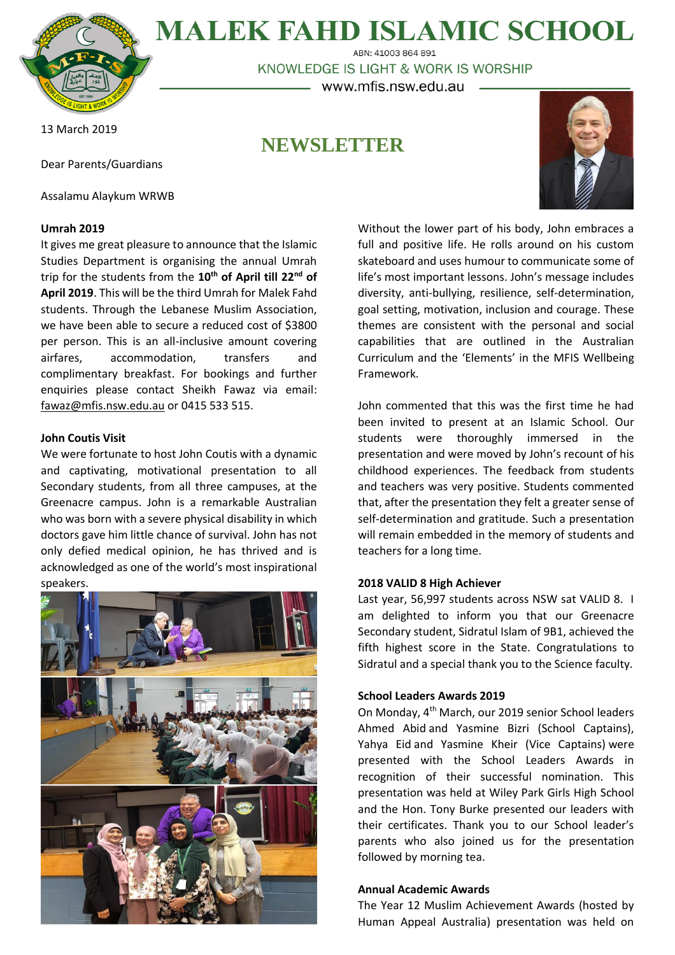

**MALEK FAHD ISLAMIC SCHOOL** ABN: 41003 864 891

KNOWLEDGE IS LIGHT & WORK IS WORSHIP – www.mfis.nsw.edu.au –

13 March 2019

# **NEWSLETTER**

Dear Parents/Guardians

Assalamu Alaykum WRWB

## **Umrah 2019**

It gives me great pleasure to announce that the Islamic Studies Department is organising the annual Umrah trip for the students from the **10th of April till 22nd of April 2019**. This will be the third Umrah for Malek Fahd students. Through the Lebanese Muslim Association, we have been able to secure a reduced cost of \$3800 per person. This is an all-inclusive amount covering airfares, accommodation, transfers and complimentary breakfast. For bookings and further enquiries please contact Sheikh Fawaz via email: [fawaz@mfis.nsw.edu.au](mailto:fawaz@mfis.nsw.edu.au) or 0415 533 515.

## **John Coutis Visit**

We were fortunate to host John Coutis with a dynamic and captivating, motivational presentation to all Secondary students, from all three campuses, at the Greenacre campus. John is a remarkable Australian who was born with a severe physical disability in which doctors gave him little chance of survival. John has not only defied medical opinion, he has thrived and is acknowledged as one of the world's most inspirational speakers.



Without the lower part of his body, John embraces a full and positive life. He rolls around on his custom skateboard and uses humour to communicate some of life's most important lessons. John's message includes diversity, anti-bullying, resilience, self-determination, goal setting, motivation, inclusion and courage. These themes are consistent with the personal and social capabilities that are outlined in the Australian Curriculum and the 'Elements' in the MFIS Wellbeing Framework.

John commented that this was the first time he had been invited to present at an Islamic School. Our students were thoroughly immersed in the presentation and were moved by John's recount of his childhood experiences. The feedback from students and teachers was very positive. Students commented that, after the presentation they felt a greater sense of self-determination and gratitude. Such a presentation will remain embedded in the memory of students and teachers for a long time.

## **2018 VALID 8 High Achiever**

Last year, 56,997 students across NSW sat VALID 8. I am delighted to inform you that our Greenacre Secondary student, Sidratul Islam of 9B1, achieved the fifth highest score in the State. Congratulations to Sidratul and a special thank you to the Science faculty.

## **School Leaders Awards 2019**

On Monday, 4th March, our 2019 senior School leaders Ahmed Abid and Yasmine Bizri (School Captains), Yahya Eid and Yasmine Kheir (Vice Captains) were presented with the School Leaders Awards in recognition of their successful nomination. This presentation was held at Wiley Park Girls High School and the Hon. Tony Burke presented our leaders with their certificates. Thank you to our School leader's parents who also joined us for the presentation followed by morning tea.

## **Annual Academic Awards**

The Year 12 Muslim Achievement Awards (hosted by Human Appeal Australia) presentation was held on

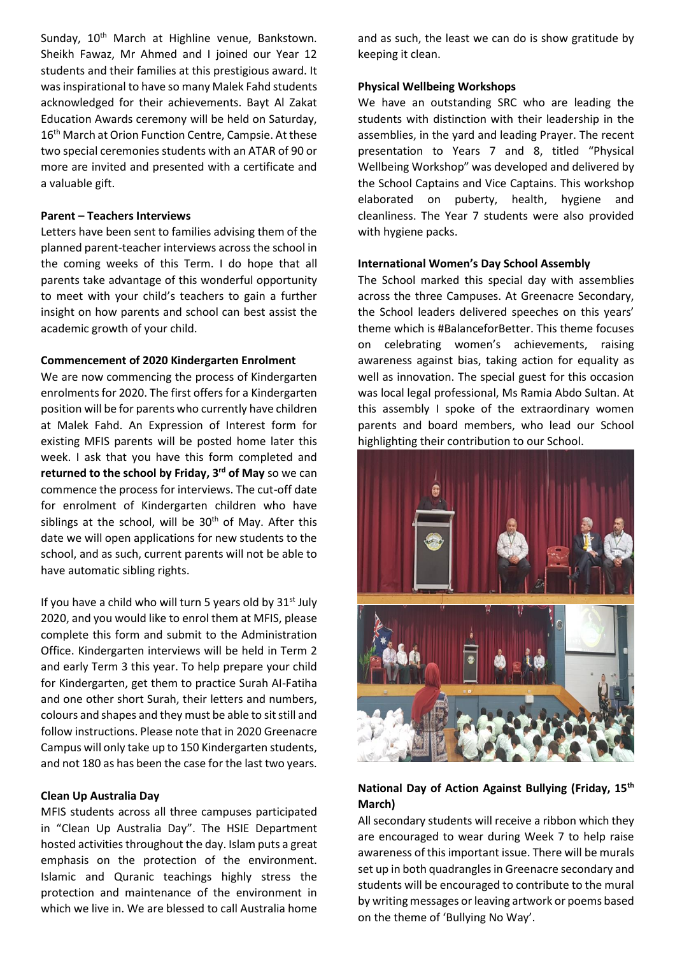Sunday, 10<sup>th</sup> March at Highline venue, Bankstown. Sheikh Fawaz, Mr Ahmed and I joined our Year 12 students and their families at this prestigious award. It was inspirational to have so many Malek Fahd students acknowledged for their achievements. Bayt Al Zakat Education Awards ceremony will be held on Saturday, 16<sup>th</sup> March at Orion Function Centre, Campsie. At these two special ceremonies students with an ATAR of 90 or more are invited and presented with a certificate and a valuable gift.

## **Parent – Teachers Interviews**

Letters have been sent to families advising them of the planned parent-teacher interviews across the school in the coming weeks of this Term. I do hope that all parents take advantage of this wonderful opportunity to meet with your child's teachers to gain a further insight on how parents and school can best assist the academic growth of your child.

## **Commencement of 2020 Kindergarten Enrolment**

We are now commencing the process of Kindergarten enrolments for 2020. The first offers for a Kindergarten position will be for parents who currently have children at Malek Fahd. An Expression of Interest form for existing MFIS parents will be posted home later this week. I ask that you have this form completed and **returned to the school by Friday, 3 rd of May** so we can commence the process for interviews. The cut-off date for enrolment of Kindergarten children who have siblings at the school, will be  $30<sup>th</sup>$  of May. After this date we will open applications for new students to the school, and as such, current parents will not be able to have automatic sibling rights.

If you have a child who will turn 5 years old by  $31^{st}$  July 2020, and you would like to enrol them at MFIS, please complete this form and submit to the Administration Office. Kindergarten interviews will be held in Term 2 and early Term 3 this year. To help prepare your child for Kindergarten, get them to practice Surah AI-Fatiha and one other short Surah, their letters and numbers, colours and shapes and they must be able to sit still and follow instructions. Please note that in 2020 Greenacre Campus will only take up to 150 Kindergarten students, and not 180 as has been the case for the last two years.

#### **Clean Up Australia Day**

MFIS students across all three campuses participated in "Clean Up Australia Day". The HSIE Department hosted activities throughout the day. Islam puts a great emphasis on the protection of the environment. Islamic and Quranic teachings highly stress the protection and maintenance of the environment in which we live in. We are blessed to call Australia home and as such, the least we can do is show gratitude by keeping it clean.

## **Physical Wellbeing Workshops**

We have an outstanding SRC who are leading the students with distinction with their leadership in the assemblies, in the yard and leading Prayer. The recent presentation to Years 7 and 8, titled "Physical Wellbeing Workshop" was developed and delivered by the School Captains and Vice Captains. This workshop elaborated on puberty, health, hygiene and cleanliness. The Year 7 students were also provided with hygiene packs.

## **International Women's Day School Assembly**

The School marked this special day with assemblies across the three Campuses. At Greenacre Secondary, the School leaders delivered speeches on this years' theme which is #BalanceforBetter. This theme focuses on celebrating women's achievements, raising awareness against bias, taking action for equality as well as innovation. The special guest for this occasion was local legal professional, Ms Ramia Abdo Sultan. At this assembly I spoke of the extraordinary women parents and board members, who lead our School highlighting their contribution to our School.



# **National Day of Action Against Bullying (Friday, 15th March)**

All secondary students will receive a ribbon which they are encouraged to wear during Week 7 to help raise awareness of this important issue. There will be murals set up in both quadrangles in Greenacre secondary and students will be encouraged to contribute to the mural by writing messages or leaving artwork or poems based on the theme of 'Bullying No Way'.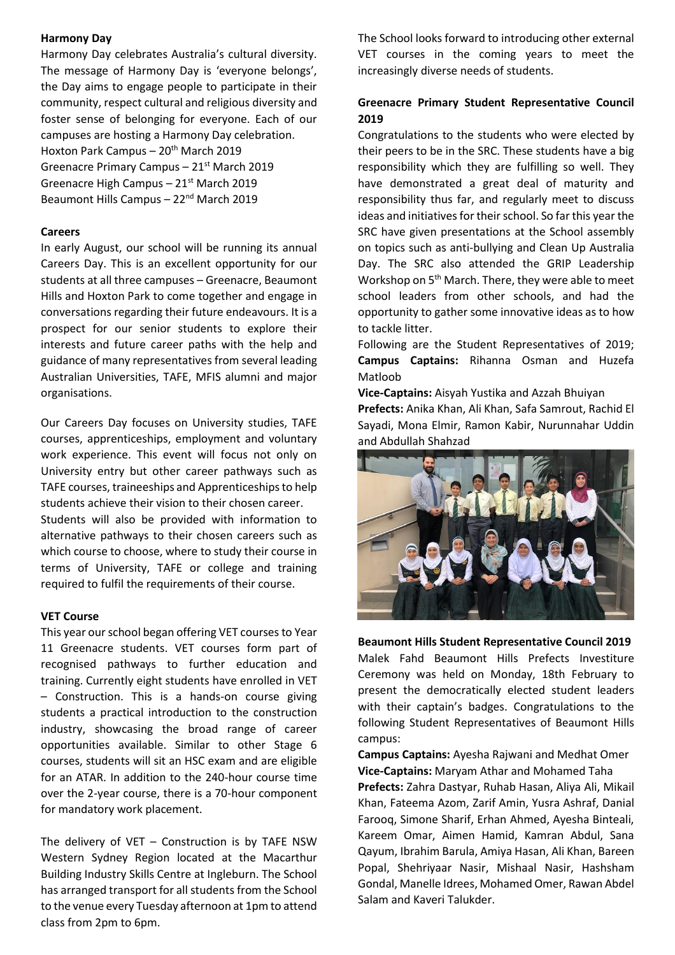## **Harmony Day**

Harmony Day celebrates Australia's cultural diversity. The message of Harmony Day is 'everyone belongs', the Day aims to engage people to participate in their community, respect cultural and religious diversity and foster sense of belonging for everyone. Each of our campuses are hosting a Harmony Day celebration. Hoxton Park Campus –  $20<sup>th</sup>$  March 2019 Greenacre Primary Campus – 21st March 2019 Greenacre High Campus – 21<sup>st</sup> March 2019 Beaumont Hills Campus - 22<sup>nd</sup> March 2019

## **Careers**

In early August, our school will be running its annual Careers Day. This is an excellent opportunity for our students at all three campuses – Greenacre, Beaumont Hills and Hoxton Park to come together and engage in conversations regarding their future endeavours. It is a prospect for our senior students to explore their interests and future career paths with the help and guidance of many representatives from several leading Australian Universities, TAFE, MFIS alumni and major organisations.

Our Careers Day focuses on University studies, TAFE courses, apprenticeships, employment and voluntary work experience. This event will focus not only on University entry but other career pathways such as TAFE courses, traineeships and Apprenticeships to help students achieve their vision to their chosen career. Students will also be provided with information to alternative pathways to their chosen careers such as which course to choose, where to study their course in terms of University, TAFE or college and training required to fulfil the requirements of their course.

## **VET Course**

This year our school began offering VET courses to Year 11 Greenacre students. VET courses form part of recognised pathways to further education and training. Currently eight students have enrolled in VET – Construction. This is a hands-on course giving students a practical introduction to the construction industry, showcasing the broad range of career opportunities available. Similar to other Stage 6 courses, students will sit an HSC exam and are eligible for an ATAR. In addition to the 240-hour course time over the 2-year course, there is a 70-hour component for mandatory work placement.

The delivery of VET – Construction is by TAFE NSW Western Sydney Region located at the Macarthur Building Industry Skills Centre at Ingleburn. The School has arranged transport for all students from the School to the venue every Tuesday afternoon at 1pm to attend class from 2pm to 6pm.

The School looks forward to introducing other external VET courses in the coming years to meet the increasingly diverse needs of students.

# **Greenacre Primary Student Representative Council 2019**

Congratulations to the students who were elected by their peers to be in the SRC. These students have a big responsibility which they are fulfilling so well. They have demonstrated a great deal of maturity and responsibility thus far, and regularly meet to discuss ideas and initiatives for their school. So far this year the SRC have given presentations at the School assembly on topics such as anti-bullying and Clean Up Australia Day. The SRC also attended the GRIP Leadership Workshop on  $5<sup>th</sup>$  March. There, they were able to meet school leaders from other schools, and had the opportunity to gather some innovative ideas as to how to tackle litter.

Following are the Student Representatives of 2019; **Campus Captains:** Rihanna Osman and Huzefa Matloob

**Vice-Captains:** Aisyah Yustika and Azzah Bhuiyan **Prefects:** Anika Khan, Ali Khan, Safa Samrout, Rachid El Sayadi, Mona Elmir, Ramon Kabir, Nurunnahar Uddin and Abdullah Shahzad



**Beaumont Hills Student Representative Council 2019** Malek Fahd Beaumont Hills Prefects Investiture Ceremony was held on Monday, 18th February to present the democratically elected student leaders with their captain's badges. Congratulations to the following Student Representatives of Beaumont Hills campus:

**Campus Captains:** Ayesha Rajwani and Medhat Omer **Vice-Captains:** Maryam Athar and Mohamed Taha **Prefects:** Zahra Dastyar, Ruhab Hasan, Aliya Ali, Mikail Khan, Fateema Azom, Zarif Amin, Yusra Ashraf, Danial Farooq, Simone Sharif, Erhan Ahmed, Ayesha Binteali, Kareem Omar, Aimen Hamid, Kamran Abdul, Sana Qayum, Ibrahim Barula, Amiya Hasan, Ali Khan, Bareen Popal, Shehriyaar Nasir, Mishaal Nasir, Hashsham Gondal, Manelle Idrees, Mohamed Omer, Rawan Abdel Salam and Kaveri Talukder.